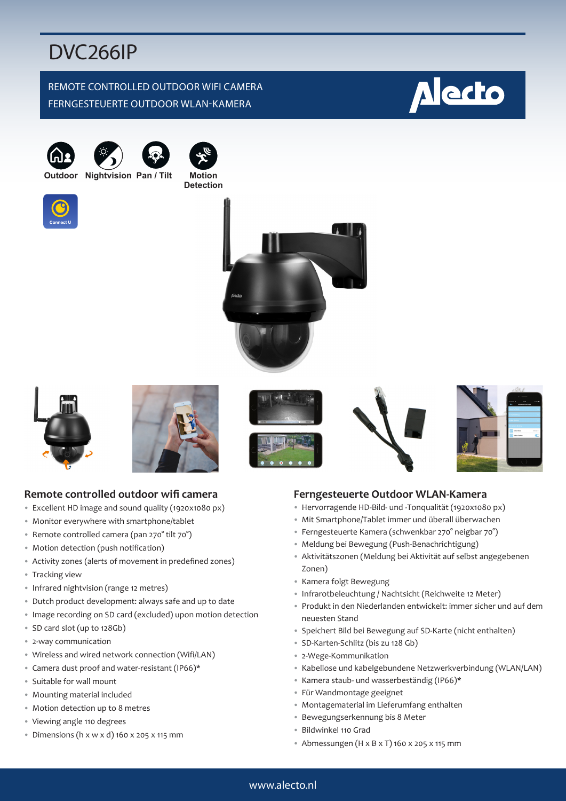# DVC266IP

### REMOTE CONTROLLED OUTDOOR WIFI CAMERA FERNGESTEUERTE OUTDOOR WLAN-KAMERA







**Outdoor Nightvision Pan / Tilt Motion Detection**















# **Remote controlled outdoor wifi camera**

- Excellent HD image and sound quality (1920x1080 px)
- Monitor everywhere with smartphone/tablet
- Remote controlled camera (pan 270° tilt 70°)
- Motion detection (push notification)
- Activity zones (alerts of movement in predefined zones)
- Tracking view
- Infrared nightvision (range 12 metres)
- Dutch product development: always safe and up to date
- Image recording on SD card (excluded) upon motion detection
- SD card slot (up to 128Gb)
- 2-way communication
- Wireless and wired network connection (Wifi/LAN)
- Camera dust proof and water-resistant (IP66)\*
- Suitable for wall mount
- Mounting material included
- Motion detection up to 8 metres
- Viewing angle 110 degrees
- Dimensions (h x w x d) 160 x 205 x 115 mm

#### **Ferngesteuerte Outdoor WLAN-Kamera**

- Hervorragende HD-Bild- und -Tonqualität (1920x1080 px)
- Mit Smartphone/Tablet immer und überall überwachen
- Ferngesteuerte Kamera (schwenkbar 270° neigbar 70°)
- Meldung bei Bewegung (Push-Benachrichtigung)
- Aktivitätszonen (Meldung bei Aktivität auf selbst angegebenen Zonen)
- Kamera folgt Bewegung
- Infrarotbeleuchtung / Nachtsicht (Reichweite 12 Meter)
- Produkt in den Niederlanden entwickelt: immer sicher und auf dem neuesten Stand
- Speichert Bild bei Bewegung auf SD-Karte (nicht enthalten)
- SD-Karten-Schlitz (bis zu 128 Gb)
- 2-Wege-Kommunikation
- Kabellose und kabelgebundene Netzwerkverbindung (WLAN/LAN)
- Kamera staub- und wasserbeständig (IP66)\*
- Für Wandmontage geeignet
- Montagematerial im Lieferumfang enthalten
- Bewegungserkennung bis 8 Meter
- Bildwinkel 110 Grad
- Abmessungen (H x B x T) 160 x 205 x 115 mm